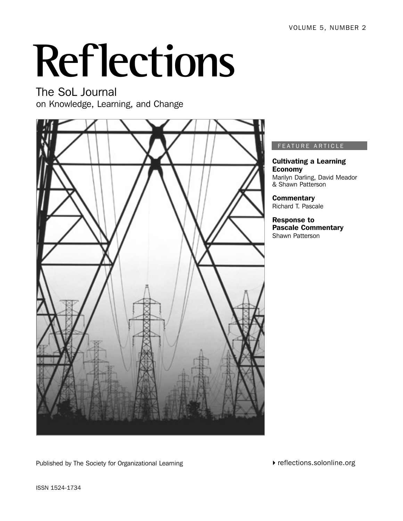# **Reflections**

The SoL Journal on Knowledge, Learning, and Change



FEATURE ARTICLE

Cultivating a Learning Economy Marilyn Darling, David Meador & Shawn Patterson

**Commentary** Richard T. Pascale

Response to Pascale Commentary Shawn Patterson

Published by The Society for Organizational Learning

 $\blacktriangleright$  reflections.solonline.org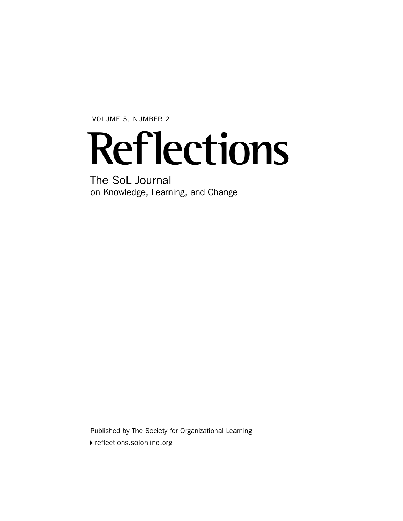VOLUME 5, NUMBER 2

## **Reflections**

The SoL Journal on Knowledge, Learning, and Change

Published by The Society for Organizational Learning

 $\blacktriangleright$  reflections.solonline.org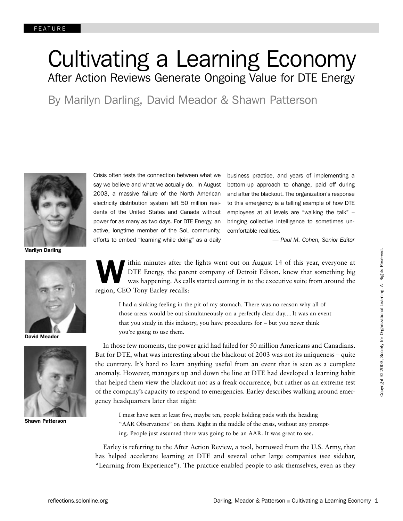## Cultivating a Learning Economy After Action Reviews Generate Ongoing Value for DTE Energy

By Marilyn Darling, David Meador & Shawn Patterson



Marilyn Darling



David Meador



Shawn Patterson

Crisis often tests the connection between what we say we believe and what we actually do. In August 2003, a massive failure of the North American electricity distribution system left 50 million residents of the United States and Canada without power for as many as two days. For DTE Energy, an active, longtime member of the SoL community, efforts to embed "learning while doing" as a daily

business practice, and years of implementing a bottom-up approach to change, paid off during and after the blackout. The organization's response to this emergency is a telling example of how DTE employees at all levels are "walking the talk" – bringing collective intelligence to sometimes uncomfortable realities.

*— Paul M. Cohen, Senior Editor*

**W** ithin minutes after the lights went out on August 14 of this year, everyone at DTE Energy, the parent company of Detroit Edison, knew that something big was happening. As calls started coming in to the executive suite from around the region, CEO Tony Earley recalls:

I had a sinking feeling in the pit of my stomach. There was no reason why all of those areas would be out simultaneously on a perfectly clear day.... It was an event that you study in this industry, you have procedures for – but you never think you're going to use them.

In those few moments, the power grid had failed for 50 million Americans and Canadians. But for DTE, what was interesting about the blackout of 2003 was not its uniqueness – quite the contrary. It's hard to learn anything useful from an event that is seen as a complete anomaly. However, managers up and down the line at DTE had developed a learning habit that helped them view the blackout not as a freak occurrence, but rather as an extreme test of the company's capacity to respond to emergencies. Earley describes walking around emergency headquarters later that night:

I must have seen at least five, maybe ten, people holding pads with the heading "AAR Observations" on them. Right in the middle of the crisis, without any prompting. People just assumed there was going to be an AAR. It was great to see.

Earley is referring to the After Action Review, a tool, borrowed from the U.S. Army, that has helped accelerate learning at DTE and several other large companies (see sidebar, "Learning from Experience"). The practice enabled people to ask themselves, even as they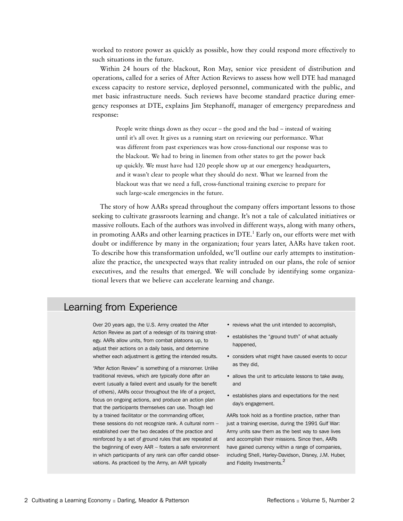worked to restore power as quickly as possible, how they could respond more effectively to such situations in the future.

Within 24 hours of the blackout, Ron May, senior vice president of distribution and operations, called for a series of After Action Reviews to assess how well DTE had managed excess capacity to restore service, deployed personnel, communicated with the public, and met basic infrastructure needs. Such reviews have become standard practice during emergency responses at DTE, explains Jim Stephanoff, manager of emergency preparedness and response:

People write things down as they occur – the good and the bad – instead of waiting until it's all over. It gives us a running start on reviewing our performance. What was different from past experiences was how cross-functional our response was to the blackout. We had to bring in linemen from other states to get the power back up quickly. We must have had 120 people show up at our emergency headquarters, and it wasn't clear to people what they should do next. What we learned from the blackout was that we need a full, cross-functional training exercise to prepare for such large-scale emergencies in the future.

The story of how AARs spread throughout the company offers important lessons to those seeking to cultivate grassroots learning and change. It's not a tale of calculated initiatives or massive rollouts. Each of the authors was involved in different ways, along with many others, in promoting AARs and other learning practices in DTE.<sup>1</sup> Early on, our efforts were met with doubt or indifference by many in the organization; four years later, AARs have taken root. To describe how this transformation unfolded, we'll outline our early attempts to institutionalize the practice, the unexpected ways that reality intruded on our plans, the role of senior executives, and the results that emerged. We will conclude by identifying some organizational levers that we believe can accelerate learning and change.

## Learning from Experience

Over 20 years ago, the U.S. Army created the After Action Review as part of a redesign of its training strategy. AARs allow units, from combat platoons up, to adjust their actions on a daily basis, and determine whether each adjustment is getting the intended results.

"After Action Review" is something of a misnomer. Unlike traditional reviews, which are typically done after an event (usually a failed event and usually for the benefit of others), AARs occur throughout the life of a project, focus on ongoing actions, and produce an action plan that the participants themselves can use. Though led by a trained facilitator or the commanding officer, these sessions do not recognize rank. A cultural norm – established over the two decades of the practice and reinforced by a set of ground rules that are repeated at the beginning of every AAR – fosters a safe environment in which participants of any rank can offer candid observations. As practiced by the Army, an AAR typically

- reviews what the unit intended to accomplish,
- establishes the "ground truth" of what actually happened,
- considers what might have caused events to occur as they did,
- allows the unit to articulate lessons to take away, and
- establishes plans and expectations for the next day's engagement.

AARs took hold as a frontline practice, rather than just a training exercise, during the 1991 Gulf War: Army units saw them as the best way to save lives and accomplish their missions. Since then, AARs have gained currency within a range of companies, including Shell, Harley-Davidson, Disney, J.M. Huber, and Fidelity Investments.<sup>2</sup>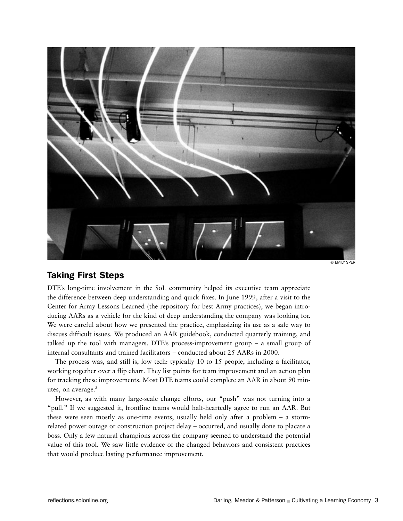

© EMILY SPER

## Taking First Steps

DTE's long-time involvement in the SoL community helped its executive team appreciate the difference between deep understanding and quick fixes. In June 1999, after a visit to the Center for Army Lessons Learned (the repository for best Army practices), we began introducing AARs as a vehicle for the kind of deep understanding the company was looking for. We were careful about how we presented the practice, emphasizing its use as a safe way to discuss difficult issues. We produced an AAR guidebook, conducted quarterly training, and talked up the tool with managers. DTE's process-improvement group – a small group of internal consultants and trained facilitators – conducted about 25 AARs in 2000.

The process was, and still is, low tech: typically 10 to 15 people, including a facilitator, working together over a flip chart. They list points for team improvement and an action plan for tracking these improvements. Most DTE teams could complete an AAR in about 90 minutes, on average. $3$ 

However, as with many large-scale change efforts, our "push" was not turning into a "pull." If we suggested it, frontline teams would half-heartedly agree to run an AAR. But these were seen mostly as one-time events, usually held only after a problem – a stormrelated power outage or construction project delay – occurred, and usually done to placate a boss. Only a few natural champions across the company seemed to understand the potential value of this tool. We saw little evidence of the changed behaviors and consistent practices that would produce lasting performance improvement.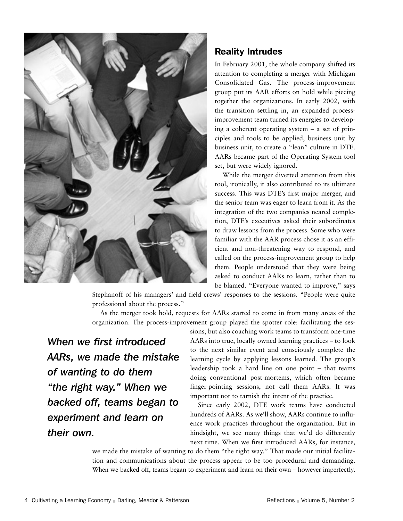

## Reality Intrudes

In February 2001, the whole company shifted its attention to completing a merger with Michigan Consolidated Gas. The process-improvement group put its AAR efforts on hold while piecing together the organizations. In early 2002, with the transition settling in, an expanded processimprovement team turned its energies to developing a coherent operating system – a set of principles and tools to be applied, business unit by business unit, to create a "lean" culture in DTE. AARs became part of the Operating System tool set, but were widely ignored.

While the merger diverted attention from this tool, ironically, it also contributed to its ultimate success. This was DTE's first major merger, and the senior team was eager to learn from it. As the integration of the two companies neared completion, DTE's executives asked their subordinates to draw lessons from the process. Some who were familiar with the AAR process chose it as an efficient and non-threatening way to respond, and called on the process-improvement group to help them. People understood that they were being asked to conduct AARs to learn, rather than to be blamed. "Everyone wanted to improve," says

Stephanoff of his managers' and field crews' responses to the sessions. "People were quite professional about the process."

As the merger took hold, requests for AARs started to come in from many areas of the organization. The process-improvement group played the spotter role: facilitating the ses-

*When we first introduced AARs, we made the mistake of wanting to do them "the right way." When we backed off, teams began to experiment and learn on their own.*

sions, but also coaching work teams to transform one-time AARs into true, locally owned learning practices – to look to the next similar event and consciously complete the learning cycle by applying lessons learned. The group's leadership took a hard line on one point – that teams doing conventional post-mortems, which often became finger-pointing sessions, not call them AARs. It was important not to tarnish the intent of the practice.

Since early 2002, DTE work teams have conducted hundreds of AARs. As we'll show, AARs continue to influence work practices throughout the organization. But in hindsight, we see many things that we'd do differently next time. When we first introduced AARs, for instance,

we made the mistake of wanting to do them "the right way." That made our initial facilitation and communications about the process appear to be too procedural and demanding. When we backed off, teams began to experiment and learn on their own – however imperfectly.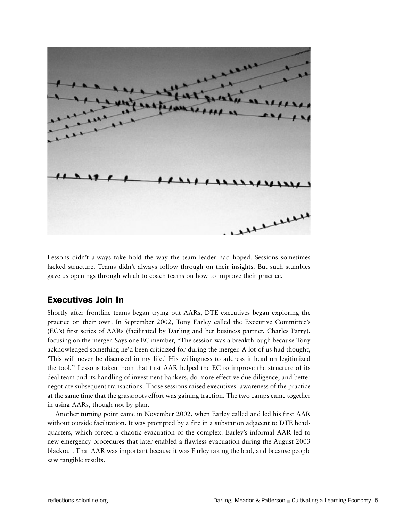

Lessons didn't always take hold the way the team leader had hoped. Sessions sometimes lacked structure. Teams didn't always follow through on their insights. But such stumbles gave us openings through which to coach teams on how to improve their practice.

## Executives Join In

Shortly after frontline teams began trying out AARs, DTE executives began exploring the practice on their own. In September 2002, Tony Earley called the Executive Committee's (EC's) first series of AARs (facilitated by Darling and her business partner, Charles Parry), focusing on the merger. Says one EC member, "The session was a breakthrough because Tony acknowledged something he'd been criticized for during the merger. A lot of us had thought, 'This will never be discussed in my life.' His willingness to address it head-on legitimized the tool." Lessons taken from that first AAR helped the EC to improve the structure of its deal team and its handling of investment bankers, do more effective due diligence, and better negotiate subsequent transactions. Those sessions raised executives' awareness of the practice at the same time that the grassroots effort was gaining traction. The two camps came together in using AARs, though not by plan.

Another turning point came in November 2002, when Earley called and led his first AAR without outside facilitation. It was prompted by a fire in a substation adjacent to DTE headquarters, which forced a chaotic evacuation of the complex. Earley's informal AAR led to new emergency procedures that later enabled a flawless evacuation during the August 2003 blackout. That AAR was important because it was Earley taking the lead, and because people saw tangible results.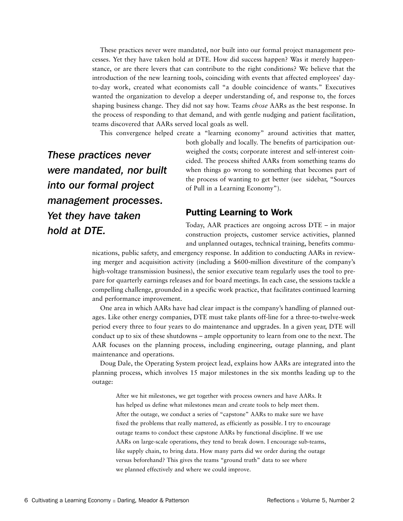These practices never were mandated, nor built into our formal project management processes. Yet they have taken hold at DTE. How did success happen? Was it merely happenstance, or are there levers that can contribute to the right conditions? We believe that the introduction of the new learning tools, coinciding with events that affected employees' dayto-day work, created what economists call "a double coincidence of wants." Executives wanted the organization to develop a deeper understanding of, and response to, the forces shaping business change. They did not say how. Teams *chose* AARs as the best response. In the process of responding to that demand, and with gentle nudging and patient facilitation, teams discovered that AARs served local goals as well.

This convergence helped create a "learning economy" around activities that matter,

*These practices never were mandated, nor built into our formal project management processes. Yet they have taken hold at DTE.*

both globally and locally. The benefits of participation outweighed the costs; corporate interest and self-interest coincided. The process shifted AARs from something teams do when things go wrong to something that becomes part of the process of wanting to get better (see sidebar, "Sources of Pull in a Learning Economy").

### Putting Learning to Work

Today, AAR practices are ongoing across DTE – in major construction projects, customer service activities, planned and unplanned outages, technical training, benefits commu-

nications, public safety, and emergency response. In addition to conducting AARs in reviewing merger and acquisition activity (including a \$600-million divestiture of the company's high-voltage transmission business), the senior executive team regularly uses the tool to prepare for quarterly earnings releases and for board meetings. In each case, the sessions tackle a compelling challenge, grounded in a specific work practice, that facilitates continued learning and performance improvement.

One area in which AARs have had clear impact is the company's handling of planned outages. Like other energy companies, DTE must take plants off-line for a three-to-twelve-week period every three to four years to do maintenance and upgrades. In a given year, DTE will conduct up to six of these shutdowns – ample opportunity to learn from one to the next. The AAR focuses on the planning process, including engineering, outage planning, and plant maintenance and operations.

Doug Dale, the Operating System project lead, explains how AARs are integrated into the planning process, which involves 15 major milestones in the six months leading up to the outage:

After we hit milestones, we get together with process owners and have AARs. It has helped us define what milestones mean and create tools to help meet them. After the outage, we conduct a series of "capstone" AARs to make sure we have fixed the problems that really mattered, as efficiently as possible. I try to encourage outage teams to conduct these capstone AARs by functional discipline. If we use AARs on large-scale operations, they tend to break down. I encourage sub-teams, like supply chain, to bring data. How many parts did we order during the outage versus beforehand? This gives the teams "ground truth" data to see where we planned effectively and where we could improve.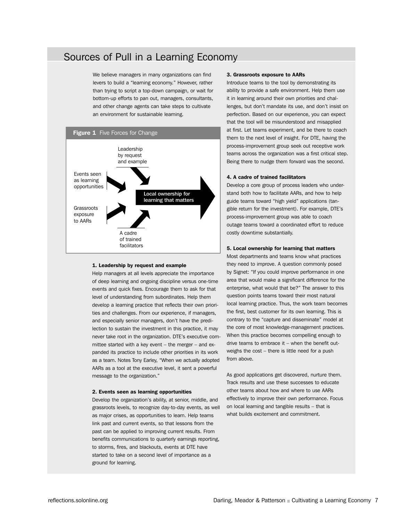## Sources of Pull in a Learning Economy

We believe managers in many organizations can find levers to build a "learning economy." However, rather than trying to script a top-down campaign, or wait for bottom-up efforts to pan out, managers, consultants, and other change agents can take steps to cultivate an environment for sustainable learning.



#### 1. Leadership by request and example

Help managers at all levels appreciate the importance of deep learning and ongoing discipline versus one-time events and quick fixes. Encourage them to ask for that level of understanding from subordinates. Help them develop a learning practice that reflects their own priorities and challenges. From our experience, if managers, and especially senior managers, don't have the predilection to sustain the investment in this practice, it may never take root in the organization. DTE's executive committee started with a key event – the merger – and expanded its practice to include other priorities in its work as a team. Notes Tony Earley, "When we actually adopted AARs as a tool at the executive level, it sent a powerful message to the organization."

#### 2. Events seen as learning opportunities

Develop the organization's ability, at senior, middle, and grassroots levels, to recognize day-to-day events, as well as major crises, as opportunities to learn. Help teams link past and current events, so that lessons from the past can be applied to improving current results. From benefits communications to quarterly earnings reporting, to storms, fires, and blackouts, events at DTE have started to take on a second level of importance as a ground for learning.

#### 3. Grassroots exposure to AARs

Introduce teams to the tool by demonstrating its ability to provide a safe environment. Help them use it in learning around their own priorities and challenges, but don't mandate its use, and don't insist on perfection. Based on our experience, you can expect that the tool will be misunderstood and misapplied at first. Let teams experiment, and be there to coach them to the next level of insight. For DTE, having the process-improvement group seek out receptive work teams across the organization was a first critical step. Being there to nudge them forward was the second.

#### 4. A cadre of trained facilitators

Develop a core group of process leaders who understand both how to facilitate AARs, and how to help guide teams toward "high yield" applications (tangible return for the investment). For example, DTE's process-improvement group was able to coach outage teams toward a coordinated effort to reduce costly downtime substantially.

#### 5. Local ownership for learning that matters

Most departments and teams know what practices they need to improve. A question commonly posed by Signet: "If you could improve performance in one area that would make a significant difference for the enterprise, what would that be?" The answer to this question points teams toward their most natural local learning practice. Thus, the work team becomes the first, best customer for its own learning. This is contrary to the "capture and disseminate" model at the core of most knowledge-management practices. When this practice becomes compelling enough to drive teams to embrace it – when the benefit outweighs the cost – there is little need for a push from above.

As good applications get discovered, nurture them. Track results and use these successes to educate other teams about how and where to use AARs effectively to improve their own performance. Focus on local learning and tangible results – that is what builds excitement and commitment.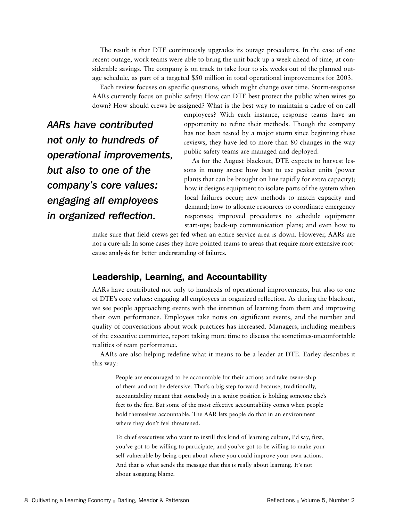The result is that DTE continuously upgrades its outage procedures. In the case of one recent outage, work teams were able to bring the unit back up a week ahead of time, at considerable savings. The company is on track to take four to six weeks out of the planned outage schedule, as part of a targeted \$50 million in total operational improvements for 2003.

Each review focuses on specific questions, which might change over time. Storm-response AARs currently focus on public safety: How can DTE best protect the public when wires go down? How should crews be assigned? What is the best way to maintain a cadre of on-call

*AARs have contributed not only to hundreds of operational improvements, but also to one of the company's core values: engaging all employees in organized reflection.*

employees? With each instance, response teams have an opportunity to refine their methods. Though the company has not been tested by a major storm since beginning these reviews, they have led to more than 80 changes in the way public safety teams are managed and deployed.

As for the August blackout, DTE expects to harvest lessons in many areas: how best to use peaker units (power plants that can be brought on line rapidly for extra capacity); how it designs equipment to isolate parts of the system when local failures occur; new methods to match capacity and demand; how to allocate resources to coordinate emergency responses; improved procedures to schedule equipment start-ups; back-up communication plans; and even how to

make sure that field crews get fed when an entire service area is down. However, AARs are not a cure-all: In some cases they have pointed teams to areas that require more extensive rootcause analysis for better understanding of failures.

## Leadership, Learning, and Accountability

AARs have contributed not only to hundreds of operational improvements, but also to one of DTE's core values: engaging all employees in organized reflection. As during the blackout, we see people approaching events with the intention of learning from them and improving their own performance. Employees take notes on significant events, and the number and quality of conversations about work practices has increased. Managers, including members of the executive committee, report taking more time to discuss the sometimes-uncomfortable realities of team performance.

AARs are also helping redefine what it means to be a leader at DTE. Earley describes it this way:

People are encouraged to be accountable for their actions and take ownership of them and not be defensive. That's a big step forward because, traditionally, accountability meant that somebody in a senior position is holding someone else's feet to the fire. But some of the most effective accountability comes when people hold themselves accountable. The AAR lets people do that in an environment where they don't feel threatened.

To chief executives who want to instill this kind of learning culture, I'd say, first, you've got to be willing to participate, and you've got to be willing to make yourself vulnerable by being open about where you could improve your own actions. And that is what sends the message that this is really about learning. It's not about assigning blame.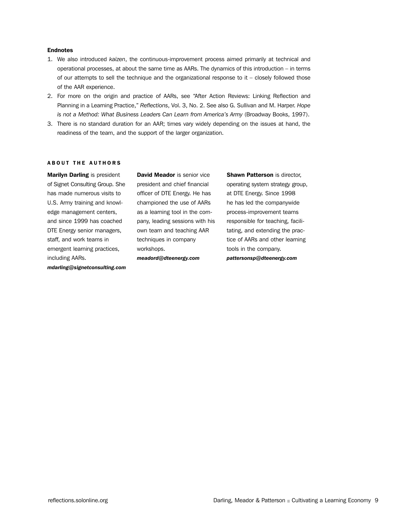#### Endnotes

- 1. We also introduced *kaizen*, the continuous-improvement process aimed primarily at technical and operational processes, at about the same time as AARs. The dynamics of this introduction – in terms of our attempts to sell the technique and the organizational response to it – closely followed those of the AAR experience.
- 2. For more on the origin and practice of AARs, see "After Action Reviews: Linking Reflection and Planning in a Learning Practice," *Reflections*, Vol. 3, No. 2. See also G. Sullivan and M. Harper. *Hope is not a Method: What Business Leaders Can Learn from America's Army* (Broadway Books, 1997).
- 3. There is no standard duration for an AAR; times vary widely depending on the issues at hand, the readiness of the team, and the support of the larger organization.

#### **ABOUT THE AUTHORS**

Marilyn Darling is president of Signet Consulting Group. She has made numerous visits to U.S. Army training and knowledge management centers, and since 1999 has coached DTE Energy senior managers, staff, and work teams in emergent learning practices, including AARs. *mdarling@signetconsulting.com* David Meador is senior vice president and chief financial officer of DTE Energy. He has championed the use of AARs as a learning tool in the company, leading sessions with his own team and teaching AAR techniques in company workshops.

*meadord@dteenergy.com*

**Shawn Patterson** is director, operating system strategy group, at DTE Energy. Since 1998 he has led the companywide process-improvement teams responsible for teaching, facilitating, and extending the practice of AARs and other learning tools in the company. *pattersonsp@dteenergy.com*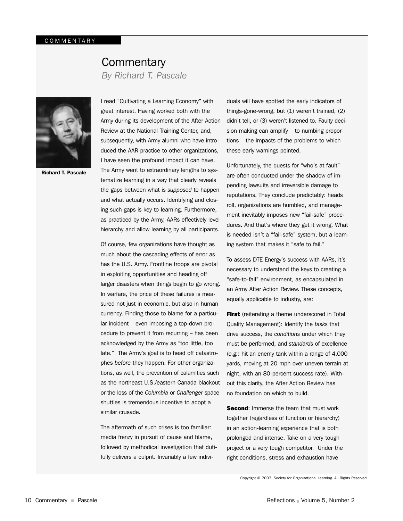## **Commentary** *By Richard T. Pascale*



Richard T. Pascale

I read "Cultivating a Learning Economy" with great interest. Having worked both with the Army during its development of the After Action Review at the National Training Center, and, subsequently, with Army alumni who have introduced the AAR practice to other organizations, I have seen the profound impact it can have. The Army went to extraordinary lengths to systematize learning in a way that clearly reveals the gaps between what is *supposed* to happen and what actually occurs. Identifying and closing such gaps is key to learning. Furthermore, as practiced by the Army, AARs effectively level hierarchy and allow learning by all participants.

Of course, few organizations have thought as much about the cascading effects of error as has the U.S. Army. Frontline troops are pivotal in exploiting opportunities and heading off larger disasters when things begin to go wrong. In warfare, the price of these failures is measured not just in economic, but also in human currency. Finding those to blame for a particular incident – even imposing a top-down procedure to prevent it from recurring – has been acknowledged by the Army as "too little, too late." The Army's goal is to head off catastrophes *before* they happen. For other organizations, as well, the prevention of calamities such as the northeast U.S./eastern Canada blackout or the loss of the *Columbia* or *Challenger* space shuttles is tremendous incentive to adopt a similar crusade.

The aftermath of such crises is too familiar: media frenzy in pursuit of cause and blame, followed by methodical investigation that dutifully delivers a culprit. Invariably a few indivi-

duals will have spotted the early indicators of things-gone-wrong, but (1) weren't trained, (2) didn't tell, or (3) weren't listened to. Faulty decision making can amplify – to numbing proportions – the impacts of the problems to which these early warnings pointed.

Unfortunately, the quests for "who's at fault" are often conducted under the shadow of impending lawsuits and irreversible damage to reputations. They conclude predictably: heads roll, organizations are humbled, and management inevitably imposes new "fail-safe" procedures. And that's where they get it wrong. What is needed isn't a "fail-safe" system, but a learning system that makes it "safe to fail."

To assess DTE Energy's success with AARs, it's necessary to understand the keys to creating a "safe-to-fail" environment, as encapsulated in an Army After Action Review. These concepts, equally applicable to industry, are:

First (reiterating a theme underscored in Total Quality Management): Identify the *tasks* that drive success, the *conditions* under which they must be performed, and *standards* of excellence (*e.g.*: hit an enemy tank within a range of 4,000 yards, moving at 20 mph over uneven terrain at night, with an 80-percent success rate). Without this clarity, the After Action Review has no foundation on which to build.

**Second:** Immerse the team that must work together (regardless of function or hierarchy) in an action-learning experience that is both prolonged and intense. Take on a very tough project or a very tough competitor. Under the right conditions, stress and exhaustion have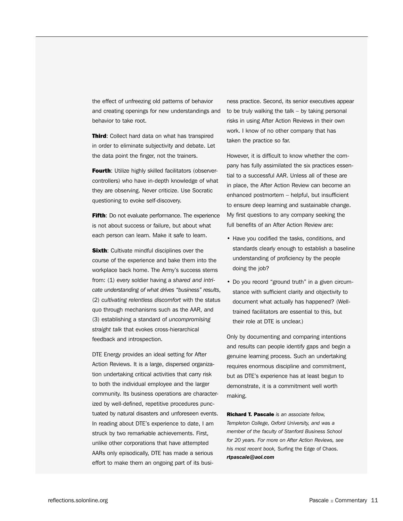the effect of unfreezing old patterns of behavior and creating openings for new understandings and behavior to take root.

**Third:** Collect hard data on what has transpired in order to eliminate subjectivity and debate. Let the data point the finger, not the trainers.

Fourth: Utilize highly skilled facilitators (observercontrollers) who have in-depth knowledge of what they are observing. Never criticize. Use Socratic questioning to evoke self-discovery.

Fifth: Do not evaluate performance. The experience is not about success or failure, but about what each person can learn. Make it safe to learn.

**Sixth:** Cultivate mindful disciplines over the course of the experience and bake them into the workplace back home. The Army's success stems from: (1) every soldier having a *shared and intricate understanding of what drives "business" results*, (2) *cultivating relentless discomfort* with the status quo through mechanisms such as the AAR, and (3) establishing a standard of *uncompromising straight talk* that evokes cross-hierarchical feedback and introspection.

DTE Energy provides an ideal setting for After Action Reviews. It is a large, dispersed organization undertaking critical activities that carry risk to both the individual employee and the larger community. Its business operations are characterized by well-defined, repetitive procedures punctuated by natural disasters and unforeseen events. In reading about DTE's experience to date, I am struck by two remarkable achievements. First, unlike other corporations that have attempted AARs only episodically, DTE has made a serious effort to make them an ongoing part of its busi-

ness practice. Second, its senior executives appear to be truly walking the talk – by taking personal risks in using After Action Reviews in their own work. I know of no other company that has taken the practice so far.

However, it is difficult to know whether the company has fully assimilated the six practices essential to a successful AAR. Unless all of these are in place, the After Action Review can become an enhanced postmortem – helpful, but insufficient to ensure deep learning and sustainable change. My first questions to any company seeking the full benefits of an After Action Review are:

- Have you codified the tasks, conditions, and standards clearly enough to establish a baseline understanding of proficiency by the people doing the job?
- Do you record "ground truth" in a given circumstance with sufficient clarity and objectivity to document what actually has happened? (Welltrained facilitators are essential to this, but their role at DTE is unclear.)

Only by documenting and comparing intentions and results can people identify gaps and begin a genuine learning process. Such an undertaking requires enormous discipline and commitment, but as DTE's experience has at least begun to demonstrate, it is a commitment well worth making.

Richard T. Pascale *is an associate fellow, Templeton College, Oxford University, and was a member of the faculty of Stanford Business School for 20 years. For more on After Action Reviews, see his most recent book,* Surfing the Edge of Chaos. *rtpascale@aol.com*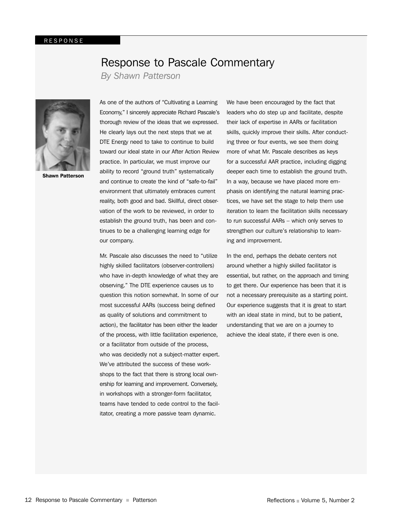## Response to Pascale Commentary

*By Shawn Patterson*



Shawn Patterson

As one of the authors of "Cultivating a Learning Economy," I sincerely appreciate Richard Pascale's thorough review of the ideas that we expressed. He clearly lays out the next steps that we at DTE Energy need to take to continue to build toward our ideal state in our After Action Review practice. In particular, we must improve our ability to record "ground truth" systematically and continue to create the kind of "safe-to-fail" environment that ultimately embraces current reality, both good and bad. Skillful, direct observation of the work to be reviewed, in order to establish the ground truth, has been and continues to be a challenging learning edge for our company.

Mr. Pascale also discusses the need to "utilize highly skilled facilitators (observer-controllers) who have in-depth knowledge of what they are observing." The DTE experience causes us to question this notion somewhat. In some of our most successful AARs (success being defined as quality of solutions and commitment to action), the facilitator has been either the leader of the process, with little facilitation experience, or a facilitator from outside of the process, who was decidedly not a subject-matter expert. We've attributed the success of these workshops to the fact that there is strong local ownership for learning and improvement. Conversely, in workshops with a stronger-form facilitator, teams have tended to cede control to the facilitator, creating a more passive team dynamic.

We have been encouraged by the fact that leaders who do step up and facilitate, despite their lack of expertise in AARs or facilitation skills, quickly improve their skills. After conducting three or four events, we see them doing more of what Mr. Pascale describes as keys for a successful AAR practice, including digging deeper each time to establish the ground truth. In a way, because we have placed more emphasis on identifying the natural learning practices, we have set the stage to help them use iteration to learn the facilitation skills necessary to run successful AARs – which only serves to strengthen our culture's relationship to learning and improvement.

In the end, perhaps the debate centers not around whether a highly skilled facilitator is essential, but rather, on the approach and timing to get there. Our experience has been that it is not a necessary prerequisite as a starting point. Our experience suggests that it is great to start with an ideal state in mind, but to be patient, understanding that we are on a journey to achieve the ideal state, if there even is one.